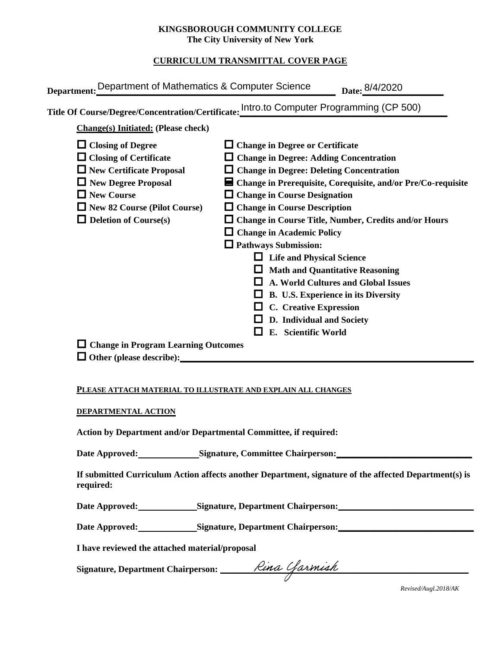### **KINGSBOROUGH COMMUNITY COLLEGE The City University of New York**

# **CURRICULUM TRANSMITTAL COVER PAGE**

| Department: Department of Mathematics & Computer Science                      | Date: 8/4/2020                                                                                                     |
|-------------------------------------------------------------------------------|--------------------------------------------------------------------------------------------------------------------|
|                                                                               | Title Of Course/Degree/Concentration/Certificate: Intro.to Computer Programming (CP 500)                           |
| <b>Change(s)</b> Initiated: (Please check)                                    |                                                                                                                    |
| $\Box$ Closing of Degree                                                      | $\Box$ Change in Degree or Certificate                                                                             |
| $\Box$ Closing of Certificate<br>$\Box$ New Certificate Proposal              | $\Box$ Change in Degree: Adding Concentration<br>$\Box$ Change in Degree: Deleting Concentration                   |
| $\Box$ New Degree Proposal<br>$\Box$ New Course                               | $\blacksquare$ Change in Prerequisite, Corequisite, and/or Pre/Co-requisite<br><b>Change in Course Designation</b> |
| $\Box$ New 82 Course (Pilot Course)                                           | $\Box$ Change in Course Description                                                                                |
| $\Box$ Deletion of Course(s)                                                  | <b>Change in Course Title, Number, Credits and/or Hours</b><br>$\Box$ Change in Academic Policy                    |
|                                                                               | $\Box$ Pathways Submission:                                                                                        |
|                                                                               | <b>Life and Physical Science</b>                                                                                   |
|                                                                               | <b>Math and Quantitative Reasoning</b><br>A. World Cultures and Global Issues                                      |
|                                                                               | <b>B. U.S. Experience in its Diversity</b>                                                                         |
|                                                                               | C. Creative Expression<br>D. Individual and Society                                                                |
|                                                                               | E. Scientific World                                                                                                |
| $\Box$ Change in Program Learning Outcomes<br>$\Box$ Other (please describe): |                                                                                                                    |

#### **PLEASE ATTACH MATERIAL TO ILLUSTRATE AND EXPLAIN ALL CHANGES**

#### **DEPARTMENTAL ACTION**

**Action by Department and/or Departmental Committee, if required:**

Date Approved:\_\_\_\_\_\_\_\_\_\_\_\_\_\_\_Signature, Committee Chairperson:\_\_\_\_\_\_\_\_\_\_\_\_\_\_\_\_\_\_

**If submitted Curriculum Action affects another Department, signature of the affected Department(s) is required:**

Date Approved: Signature, Department Chairperson:

Date Approved: Signature, Department Chairperson: Network and Solven and Solven and Solven and Solven and Solven and Solven and Solven and Solven and Solven and Solven and Solven and Solven and Solven and Solven and Solven

**I have reviewed the attached material/proposal**

Signature, Department Chairperson: \_\_\_\_\_\_\_*Rina Garmiah* 

*Revised/Augl.2018/AK*